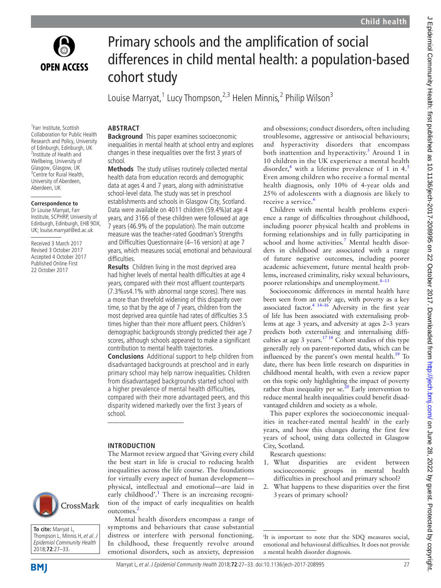

1 Farr Institute, Scottish Collaboration for Public Health Research and Policy, University of Edinburgh, Edinburgh, UK 2 Institute of Health and Wellbeing, University of Glasgow, Glasgow, UK <sup>3</sup> Centre for Rural Health, University of Aberdeen, Aberdeen, UK

#### **Correspondence to**

Dr Louise Marryat, Farr Institute, SCPHRP, University of Edinburgh, Edinburgh, EH8 9DX, UK; louise.marryat@ed.ac.uk

Received 3 March 2017 Revised 3 October 2017 Accepted 4 October 2017 Published Online First 22 October 2017

# Primary schools and the amplification of social differences in child mental health: a population-based cohort study

Louise Marryat,<sup>1</sup> Lucy Thompson,<sup>2,3</sup> Helen Minnis,<sup>2</sup> Philip Wilson<sup>3</sup>

# **ARSTRACT**

**Background** This paper examines socioeconomic inequalities in mental health at school entry and explores changes in these inequalities over the first 3 years of school.

**Methods** The study utilises routinely collected mental health data from education records and demographic data at ages 4 and 7 years, along with administrative school-level data. The study was set in preschool establishments and schools in Glasgow City, Scotland. Data were available on 4011 children (59.4%)at age 4 years, and 3166 of these children were followed at age 7 years (46.9% of the population). The main outcome measure was the teacher-rated Goodman's Strengths and Difficulties Questionnaire (4–16 version) at age 7 years, which measures social, emotional and behavioural difficulties.

**Results** Children living in the most deprived area had higher levels of mental health difficulties at age 4 years, compared with their most affluent counterparts (7.3%vs4.1% with abnormal range scores). There was a more than threefold widening of this disparity over time, so that by the age of 7 years, children from the most deprived area quintile had rates of difficulties 3.5 times higher than their more affluent peers. Children's demographic backgrounds strongly predicted their age 7 scores, although schools appeared to make a significant contribution to mental health trajectories.

**Conclusions** Additional support to help children from disadvantaged backgrounds at preschool and in early primary school may help narrow inequalities. Children from disadvantaged backgrounds started school with a higher prevalence of mental health difficulties, compared with their more advantaged peers, and this disparity widened markedly over the first 3 years of school.

#### **Introduction**

The Marmot review argued that 'Giving every child the best start in life is crucial to reducing health inequalities across the life course. The foundations for virtually every aspect of human development physical, intellectual and emotional—are laid in early childhood'.<sup>[1](#page-5-0)</sup> There is an increasing recognition of the impact of early inequalities on health outcomes.<sup>[2](#page-5-1)</sup>

CrossMark

**To cite:** Marryat L, Thompson L, Minnis H, et al. J Epidemiol Community Health 2018;**72**:27–33.

Mental health disorders encompass a range of symptoms and behaviours that cause substantial distress or interfere with personal functioning. In childhood, these frequently revolve around emotional disorders, such as anxiety, depression

and obsessions; conduct disorders, often including troublesome, aggressive or antisocial behaviours; and hyperactivity disorders that encompass both inattention and hyperactivity.<sup>[3](#page-6-0)</sup> Around 1 in 10 children in the UK experience a mental health disorder,<sup>[4](#page-6-1)</sup> with a lifetime prevalence of 1 in  $4.5$  $4.5$ Even among children who receive a formal mental health diagnosis, only 10% of 4-year olds and 25% of adolescents with a diagnosis are likely to receive a service.<sup>[6](#page-6-3)</sup>

Children with mental health problems experience a range of difficulties throughout childhood, including poorer physical health and problems in forming relationships and in fully participating in school and home activities.<sup>7</sup> Mental health disorders in childhood are associated with a range of future negative outcomes, including poorer academic achievement, future mental health problems, increased criminality, risky sexual behaviours, poorer relationships and unemployment.<sup>8-13</sup>

Socioeconomic differences in mental health have been seen from an early age, with poverty as a key associated factor.<sup>[4 14–16](#page-6-1)</sup> Adversity in the first year of life has been associated with externalising problems at age 3 years, and adversity at ages 2–3 years predicts both externalising and internalising difficulties at age 3 years. $1718$  Cohort studies of this type generally rely on parent-reported data, which can be influenced by the parent's own mental health. $^{19}$  $^{19}$  $^{19}$  To date, there has been little research on disparities in childhood mental health, with even a review paper on this topic only highlighting the impact of poverty rather than inequality per se. $^{20}$  Early intervention to reduce mental health inequalities could benefit disadvantaged children and society as a whole.

This paper explores the socioeconomic inequalities in teacher-rated mental health<sup>i</sup> in the early years, and how this changes during the first few years of school, using data collected in Glasgow City, Scotland.

Research questions:

- 1. What disparities are evident between socioeconomic groups in mental health difficulties in preschool and primary school?
- 2. What happens to these disparities over the first 3years of primary school?

<sup>&</sup>lt;sup>i</sup>It is important to note that the SDQ measures social, emotional and behavioural difficulties. It does not provide a mental health disorder diagnosis.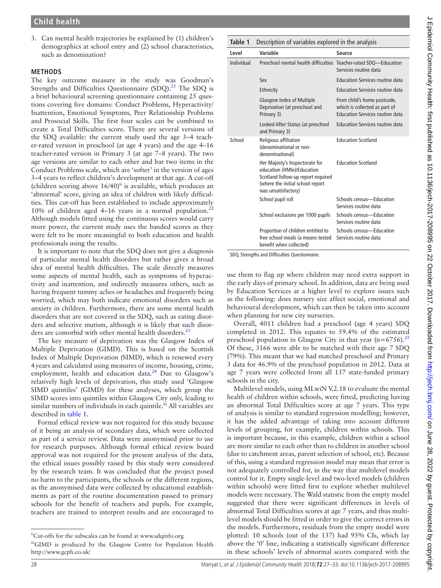3. Can mental health trajectories be explained by (1) children's demographics at school entry and (2) school characteristics, such as denomination?

# **Methods**

The key outcome measure in the study was Goodman's Strengths and Difficulties Questionnaire  $(SDQ)$ .<sup>21</sup> The SDQ is a brief behavioural screening questionnaire containing 25 questions covering five domains: Conduct Problems, Hyperactivity/ Inattention, Emotional Symptoms, Peer Relationship Problems and Prosocial Skills. The first four scales can be combined to create a Total Difficulties score. There are several versions of the SDQ available: the current study used the age 3–4 teacher-rated version in preschool (at age 4 years) and the age 4–16 teacher-rated version in Primary 3 (at age 7–8 years). The two age versions are similar to each other and bar two items in the Conduct Problems scale, which are 'softer' in the version of ages 3–4 years to reflect children's development at that age. A cut-off (children scoring above  $16/40$ <sup>ii</sup> is available, which produces an 'abnormal' score, giving an idea of children with likely difficulties. This cut-off has been established to include approximately 10% of children aged 4–16 years in a normal population.<sup>[22](#page-6-10)</sup> Although models fitted using the continuous scores would carry more power, the current study uses the banded scores as they were felt to be more meaningful to both education and health professionals using the results.

It is important to note that the SDQ does not give a diagnosis of particular mental health disorders but rather gives a broad idea of mental health difficulties. The scale directly measures some aspects of mental health, such as symptoms of hyperactivity and inattention, and indirectly measures others, such as having frequent tummy aches or headaches and frequently being worried, which may both indicate emotional disorders such as anxiety in children. Furthermore, there are some mental health disorders that are not covered in the SDQ, such as eating disorders and selective mutism, although it is likely that such disor-ders are comorbid with other mental health disorders.<sup>[23](#page-6-11)</sup>

The key measure of deprivation was the Glasgow Index of Multiple Deprivation (GIMD). This is based on the Scottish Index of Multiple Deprivation (SIMD), which is renewed every 4years and calculated using measures of income, housing, crime, employment, health and education data. $24$  Due to Glasgow's relatively high levels of deprivation, this study used 'Glasgow SIMD quintiles' (GIMD) for these analyses, which group the SIMD scores into quintiles within Glasgow City only, leading to similar numbers of individuals in each quintile.<sup>iii</sup> All variables are described in [table](#page-1-0) 1.

Formal ethical review was not required for this study because of it being an analysis of secondary data, which were collected as part of a service review. Data were anonymised prior to use for research purposes. Although formal ethical review board approval was not required for the present analysis of the data, the ethical issues possibly raised by this study were considered by the research team. It was concluded that the project posed no harm to the participants, the schools or the different regions, as the anonymised data were collected by educational establishments as part of the routine documentation passed to primary schools for the benefit of teachers and pupils. For example, teachers are trained to interpret results and are encouraged to

<span id="page-1-0"></span>

| Table 1    | Description of variables explored in the analysis                                                                                                                                                                                                                                                                                                                                                                                                                                                           |                                                                                                        |
|------------|-------------------------------------------------------------------------------------------------------------------------------------------------------------------------------------------------------------------------------------------------------------------------------------------------------------------------------------------------------------------------------------------------------------------------------------------------------------------------------------------------------------|--------------------------------------------------------------------------------------------------------|
| Level      | Variable                                                                                                                                                                                                                                                                                                                                                                                                                                                                                                    | Source                                                                                                 |
| Individual | Preschool mental health difficulties Teacher-rated SDQ-Education                                                                                                                                                                                                                                                                                                                                                                                                                                            | Services routine data                                                                                  |
|            | Sex                                                                                                                                                                                                                                                                                                                                                                                                                                                                                                         | <b>Education Services routine data</b>                                                                 |
|            | Ethnicity                                                                                                                                                                                                                                                                                                                                                                                                                                                                                                   | <b>Education Services routine data</b>                                                                 |
|            | <b>Glasgow Index of Multiple</b><br>Deprivation (at preschool and<br>Primary 3)                                                                                                                                                                                                                                                                                                                                                                                                                             | From child's home postcode,<br>which is collected as part of<br><b>Education Services routine data</b> |
|            | Looked After Status (at preschool<br>and Primary 3)                                                                                                                                                                                                                                                                                                                                                                                                                                                         | <b>Education Services routine data</b>                                                                 |
| School     | Religious affiliation<br>(denominational or non-<br>denominational)                                                                                                                                                                                                                                                                                                                                                                                                                                         | <b>Education Scotland</b>                                                                              |
|            | Her Majesty's Inspectorate for<br>education (HMIe)/Education<br>Scotland follow-up report required<br>(where the initial school report<br>was unsatisfactory)                                                                                                                                                                                                                                                                                                                                               | <b>Education Scotland</b>                                                                              |
|            | School pupil roll                                                                                                                                                                                                                                                                                                                                                                                                                                                                                           | Schools census-Education<br>Services routine data                                                      |
|            | School exclusions per 1000 pupils                                                                                                                                                                                                                                                                                                                                                                                                                                                                           | Schools census-Education<br>Services routine data                                                      |
|            | Proportion of children entitled to<br>free school meals (a means-tested<br>benefit when collected)                                                                                                                                                                                                                                                                                                                                                                                                          | Schools census-Education<br>Services routine data                                                      |
|            | SDQ, Strengths and Difficulties Questionnaire.                                                                                                                                                                                                                                                                                                                                                                                                                                                              |                                                                                                        |
|            | use them to flag up where children may need extra support in<br>the early days of primary school. In addition, data are being used<br>by Education Services at a higher level to explore issues such<br>as the following: does nursery size affect social, emotional and<br>behavioural development, which can then be taken into account<br>when planning for new city nurseries.<br>Overall, 4011 children had a preschool (age 4 years) SDQ<br>completed in 2012. This equates to 59.4% of the estimated |                                                                                                        |

Overall, 4011 children had a preschool (age 4 years) SDQ completed in 2012. This equates to 59.4% of the estimated preschool population in Glasgow City in that year ( $n=6756$ ).<sup>[25](#page-6-13)</sup> Of these, 3166 were able to be matched with their age 7 SDQ (79%). This meant that we had matched preschool and Primary 3 data for 46.9% of the preschool population in 2012. Data at age 7 years were collected from all 137 state-funded primary schools in the city.

Multilevel models, using MLwiN V.2.18 to evaluate the mental health of children within schools, were fitted, predicting having an abnormal Total Difficulties score at age 7 years. This type of analysis is similar to standard regression modelling; however, it has the added advantage of taking into account different levels of grouping, for example, children within schools. This is important because, in this example, children within a school are more similar to each other than to children in another school (due to catchment areas, parent selection of school, etc). Because of this, using a standard regression model may mean that error is not adequately controlled for, in the way that multilevel models control for it. Empty single-level and two-level models (children within schools) were fitted first to explore whether multilevel models were necessary. The Wald statistic from the empty model suggested that there were significant differences in levels of abnormal Total Difficulties scores at age 7 years, and thus multilevel models should be fitted in order to give the correct errors in the models. Furthermore, residuals from the empty model were plotted: 10 schools (out of the 137) had 95% CIs, which lay above the '0' line, indicating a statistically significant difference in these schools' levels of abnormal scores compared with the

iiCut-offs for the subscales can be found at www.sdqinfo.org

iiiGIMD is produced by the Glasgow Centre for Population Health http://www.gcph.co.uk/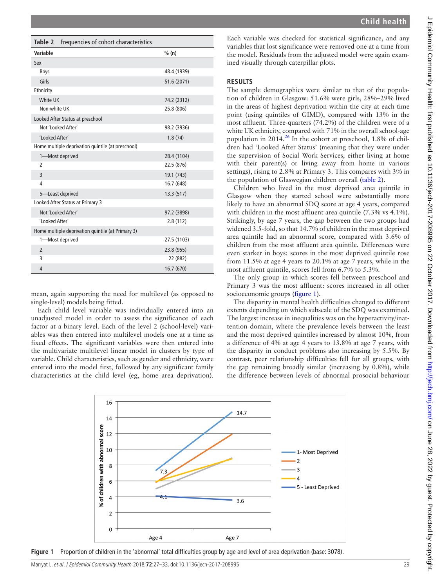<span id="page-2-0"></span>

| Frequencies of cohort characteristics<br>Table 2  |             |
|---------------------------------------------------|-------------|
| Variable                                          | % (n)       |
| Sex                                               |             |
| Boys                                              | 48.4 (1939) |
| Girls                                             | 51.6 (2071) |
| Ethnicity                                         |             |
| White UK                                          | 74.2 (2312) |
| Non-white UK                                      | 25.8 (806)  |
| Looked After Status at preschool                  |             |
| Not 'Looked After'                                | 98.2 (3936) |
| 'Looked After'                                    | 1.8(74)     |
| Home multiple deprivation quintile (at preschool) |             |
| 1-Most deprived                                   | 28.4 (1104) |
| $\overline{2}$                                    | 22.5 (876)  |
| $\overline{3}$                                    | 19.1 (743)  |
| $\overline{4}$                                    | 16.7 (648)  |
| 5-Least deprived                                  | 13.3 (517)  |
| Looked After Status at Primary 3                  |             |
| Not 'Looked After'                                | 97.2 (3898) |
| 'Looked After'                                    | 2.8(112)    |
| Home multiple deprivation quintile (at Primary 3) |             |
| 1-Most deprived                                   | 27.5 (1103) |
| $\overline{2}$                                    | 23.8 (955)  |
| 3                                                 | 22 (882)    |
| 4                                                 | 16.7 (670)  |

mean, again supporting the need for multilevel (as opposed to single-level) models being fitted.

Each child level variable was individually entered into an unadjusted model in order to assess the significance of each factor at a binary level. Each of the level 2 (school-level) variables was then entered into multilevel models one at a time as fixed effects. The significant variables were then entered into the multivariate multilevel linear model in clusters by type of variable. Child characteristics, such as gender and ethnicity, were entered into the model first, followed by any significant family characteristics at the child level (eg, home area deprivation).

Each variable was checked for statistical significance, and any variables that lost significance were removed one at a time from the model. Residuals from the adjusted model were again examined visually through caterpillar plots.

#### **Results**

The sample demographics were similar to that of the population of children in Glasgow: 51.6% were girls, 28%–29% lived in the areas of highest deprivation within the city at each time point (using quintiles of GIMD), compared with 13% in the most affluent. Three-quarters (74.2%) of the children were of a white UK ethnicity, compared with 71% in the overall school-age population in  $2014<sup>26</sup>$  $2014<sup>26</sup>$  $2014<sup>26</sup>$  In the cohort at preschool, 1.8% of children had 'Looked After Status' (meaning that they were under the supervision of Social Work Services, either living at home with their parent(s) or living away from home in various settings), rising to 2.8% at Primary 3. This compares with 3% in the population of Glaswegian children overall [\(table](#page-2-0) 2).

Children who lived in the most deprived area quintile in Glasgow when they started school were substantially more likely to have an abnormal SDQ score at age 4 years, compared with children in the most affluent area quintile (7.3% vs 4.1%). Strikingly, by age 7 years, the gap between the two groups had widened 3.5-fold, so that 14.7% of children in the most deprived area quintile had an abnormal score, compared with 3.6% of children from the most affluent area quintile. Differences were even starker in boys: scores in the most deprived quintile rose from 11.5% at age 4 years to 20.1% at age 7 years, while in the most affluent quintile, scores fell from 6.7% to 5.3%.

The only group in which scores fell between preschool and Primary 3 was the most affluent: scores increased in all other socioeconomic groups ([figure](#page-2-1) 1).

The disparity in mental health difficulties changed to different extents depending on which subscale of the SDQ was examined. The largest increase in inequalities was on the hyperactivity/inattention domain, where the prevalence levels between the least and the most deprived quintiles increased by almost 10%, from a difference of 4% at age 4 years to 13.8% at age 7 years, with the disparity in conduct problems also increasing by 5.5%. By contrast, peer relationship difficulties fell for all groups, with the gap remaining broadly similar (increasing by 0.8%), while the difference between levels of abnormal prosocial behaviour



<span id="page-2-1"></span>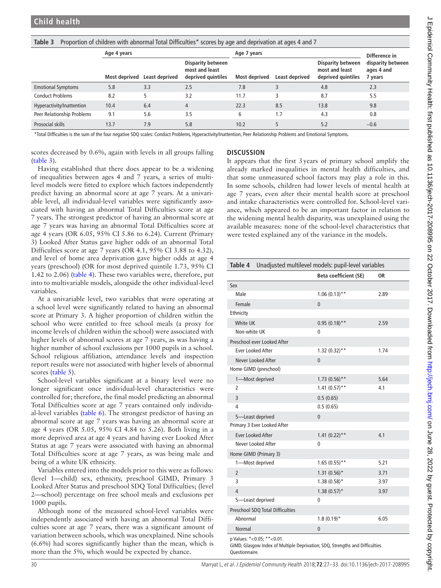<span id="page-3-0"></span>

|                            | Age 4 years   |                |                                                                  | Age 7 years          |                |                                                                  | Difference in                              |
|----------------------------|---------------|----------------|------------------------------------------------------------------|----------------------|----------------|------------------------------------------------------------------|--------------------------------------------|
|                            | Most deprived | Least deprived | <b>Disparity between</b><br>most and least<br>deprived quintiles | <b>Most deprived</b> | Least deprived | <b>Disparity between</b><br>most and least<br>deprived quintiles | disparity between<br>ages 4 and<br>7 years |
| <b>Emotional Symptoms</b>  | 5.8           | 3.3            | 2.5                                                              | 7.8                  |                | 4.8                                                              | 2.3                                        |
| <b>Conduct Problems</b>    | 8.2           |                | 3.2                                                              | 11.7                 |                | 8.7                                                              | 5.5                                        |
| Hyperactivity/Inattention  | 10.4          | 6.4            | $\overline{4}$                                                   | 22.3                 | 8.5            | 13.8                                                             | 9.8                                        |
| Peer Relationship Problems | 9.1           | 5.6            | 3.5                                                              | 6                    | $\cdot$ .7     | 4.3                                                              | 0.8                                        |
| Prosocial skills           | 13.7          | 7.9            | 5.8                                                              | 10.2                 |                | 5.2                                                              | $-0.6$                                     |

\*Total Difficulties is the sum of the four negative SDQ scales: Conduct Problems, Hyperactivity/Inattention, Peer Relationship Problems and Emotional Symptoms.

scores decreased by 0.6%, again with levels in all groups falling ([table](#page-3-0) 3).

#### **Discussion**

Having established that there does appear to be a widening of inequalities between ages 4 and 7 years, a series of multilevel models were fitted to explore which factors independently predict having an abnormal score at age 7 years. At a univariable level, all individual-level variables were significantly associated with having an abnormal Total Difficulties score at age 7 years. The strongest predictor of having an abnormal score at age 7 years was having an abnormal Total Difficulties score at age 4 years (OR 6.05, 95% CI 5.86 to 6.24). Current (Primary 3) Looked After Status gave higher odds of an abnormal Total Difficulties score at age 7 years (OR 4.1, 95% CI 3.88 to 4.32), and level of home area deprivation gave higher odds at age 4 years (preschool) (OR for most deprived quintile 1.73, 95% CI 1.42 to 2.06) ([table](#page-3-1) 4). These two variables were, therefore, put into to multivariable models, alongside the other individual-level variables.

At a univariable level, two variables that were operating at a school level were significantly related to having an abnormal score at Primary 3. A higher proportion of children within the school who were entitled to free school meals (a proxy for income levels of children within the school) were associated with higher levels of abnormal scores at age 7 years, as was having a higher number of school exclusions per 1000 pupils in a school. School religious affiliation, attendance levels and inspection report results were not associated with higher levels of abnormal scores ([table](#page-4-0) 5).

School-level variables significant at a binary level were no longer significant once individual-level characteristics were controlled for; therefore, the final model predicting an abnormal Total Difficulties score at age 7 years contained only individual-level variables ([table](#page-4-1) 6). The strongest predictor of having an abnormal score at age 7 years was having an abnormal score at age 4 years (OR 5.05, 95% CI 4.84 to 5.26). Both living in a more deprived area at age 4 years and having ever Looked After Status at age 7 years were associated with having an abnormal Total Difficulties score at age 7 years, as was being male and being of a white UK ethnicity.

Variables entered into the models prior to this were as follows: (level 1—child) sex, ethnicity, preschool GIMD, Primary 3 Looked After Status and preschool SDQ Total Difficulties; (level 2—school) percentage on free school meals and exclusions per 1000 pupils.

Although none of the measured school-level variables were independently associated with having an abnormal Total Difficulties score at age 7 years, there was a significant amount of variation between schools, which was unexplained. Nine schools (6.6%) had scores significantly higher than the mean, which is more than the 5%, which would be expected by chance.

It appears that the first 3years of primary school amplify the already marked inequalities in mental health difficulties, and that some unmeasured school factors may play a role in this. In some schools, children had lower levels of mental health at age 7 years, even after their mental health score at preschool and intake characteristics were controlled for. School-level variance, which appeared to be an important factor in relation to the widening mental health disparity, was unexplained using the available measures: none of the school-level characteristics that were tested explained any of the variance in the models.

<span id="page-3-1"></span>

| Unadjusted multilevel models: pupil-level variables<br>Table 4                                                                  |                              |      |  |  |
|---------------------------------------------------------------------------------------------------------------------------------|------------------------------|------|--|--|
|                                                                                                                                 | <b>Beta coefficient (SE)</b> | 0R   |  |  |
| Sex                                                                                                                             |                              |      |  |  |
| Male                                                                                                                            | $1.06(0.13)$ **              | 2.89 |  |  |
| Female                                                                                                                          | $\mathbf{0}$                 |      |  |  |
| Ethnicity                                                                                                                       |                              |      |  |  |
| White UK                                                                                                                        | $0.95(0.18)$ **              | 2.59 |  |  |
| Non-white UK                                                                                                                    | 0                            |      |  |  |
| Preschool ever Looked After                                                                                                     |                              |      |  |  |
| <b>Ever Looked After</b>                                                                                                        | $1.32(0.32)$ **              | 1.74 |  |  |
| Never Looked After                                                                                                              | $\mathbf{0}$                 |      |  |  |
| Home GIMD (preschool)                                                                                                           |                              |      |  |  |
| 1-Most deprived                                                                                                                 | $1.73(0.56)$ **              | 5.64 |  |  |
| $\mathfrak z$                                                                                                                   | $1.41(0.57)$ **              | 4.1  |  |  |
| 3                                                                                                                               | 0.5(0.65)                    |      |  |  |
| 4                                                                                                                               | 0.5(0.65)                    |      |  |  |
| 5-Least deprived                                                                                                                | $\overline{0}$               |      |  |  |
| Primary 3 Ever Looked After                                                                                                     |                              |      |  |  |
| <b>Ever Looked After</b>                                                                                                        | $1.41(0.22)$ **              | 4.1  |  |  |
| Never Looked After                                                                                                              | 0                            |      |  |  |
| Home GIMD (Primary 3)                                                                                                           |                              |      |  |  |
| 1-Most deprived                                                                                                                 | $1.65(0.55)$ **              | 5.21 |  |  |
| $\overline{2}$                                                                                                                  | $1.31(0.56)$ *               | 3.71 |  |  |
| 3                                                                                                                               | $1.38(0.58)$ *               | 3.97 |  |  |
| $\overline{4}$                                                                                                                  | $1.38(0.57)$ *               | 3.97 |  |  |
| 5-Least deprived                                                                                                                | 0                            |      |  |  |
| <b>Preschool SDQ Total Difficulties</b>                                                                                         |                              |      |  |  |
| Abnormal                                                                                                                        | $1.8(0.19)$ *                | 6.05 |  |  |
| Normal                                                                                                                          | $\mathbf{0}$                 |      |  |  |
| p Values: *< 0.05; ** < 0.01.<br>GIMD, Glasgow Index of Multiple Deprivation; SDQ, Strengths and Difficulties<br>Questionnaire. |                              |      |  |  |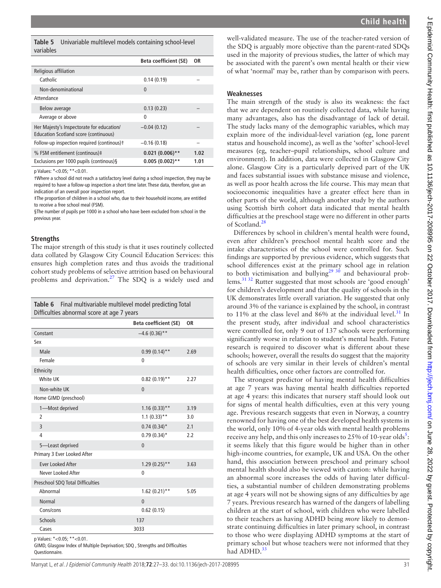<span id="page-4-0"></span>

|           | <b>Table 5</b> Univariable multilevel models containing school-level |
|-----------|----------------------------------------------------------------------|
| variables |                                                                      |

|                                                                                           | <b>Beta coefficient (SE)</b> | <b>OR</b> |
|-------------------------------------------------------------------------------------------|------------------------------|-----------|
| Religious affiliation                                                                     |                              |           |
| Catholic                                                                                  | 0.14(0.19)                   |           |
| Non-denominational                                                                        | $\mathbf{0}$                 |           |
| Attendance                                                                                |                              |           |
| Below average                                                                             | 0.13(0.23)                   |           |
| Average or above                                                                          | 0                            |           |
| Her Majesty's Inspectorate for education/<br><b>Education Scotland score (continuous)</b> | $-0.04(0.12)$                |           |
| Follow-up inspection required (continous) t                                               | $-0.16(0.18)$                |           |
| % FSM entitlement (continous)#                                                            | $0.021(0.006)**$             | 1.02      |
| Exclusions per 1000 pupils (continous) §                                                  | $0.005(0.002)$ **            | 1.01      |

p Values: \*<0.05; \*\*<0.01.

†Where a school did not reach a satisfactory level during a school inspection, they may be required to have a follow-up inspection a short time later. These data, therefore, give an indication of an overall poor inspection report.

‡The proportion of children in a school who, due to their household income, are entitled to receive a free school meal (FSM).

§The number of pupils per 1000 in a school who have been excluded from school in the previous year.

#### **Strengths**

**Ouestionnaire** 

The major strength of this study is that it uses routinely collected data collated by Glasgow City Council Education Services: this ensures high completion rates and thus avoids the traditional cohort study problems of selective attrition based on behavioural problems and deprivation.<sup>27</sup> The SDQ is a widely used and

<span id="page-4-1"></span>

|                                         | <b>Beta coefficient (SE)</b> | <b>OR</b> |
|-----------------------------------------|------------------------------|-----------|
| Constant                                | $-4.6(0.36)$ **              |           |
| Sex                                     |                              |           |
| Male                                    | $0.99(0.14)$ **              | 2.69      |
| Female                                  | 0                            |           |
| Ethnicity                               |                              |           |
| White UK                                | $0.82(0.19)$ **              | 2.27      |
| Non-white UK                            | $\mathbf{0}$                 |           |
| Home GIMD (preschool)                   |                              |           |
| 1-Most deprived                         | $1.16(0.33)$ **              | 3.19      |
| $\overline{2}$                          | $1.1(0.33)$ **               | 3.0       |
| $\overline{3}$                          | $0.74(0.34)$ *               | 2.1       |
| 4                                       | $0.79(0.34)$ *               | 2.2       |
| 5-Least deprived                        | $\mathbf{0}$                 |           |
| Primary 3 Ever Looked After             |                              |           |
| <b>Ever Looked After</b>                | $1.29(0.25)$ **              | 3.63      |
| Never Looked After                      | 0                            |           |
| <b>Preschool SDQ Total Difficulties</b> |                              |           |
| Ahnormal                                | $1.62(0.21)$ **              | 5.05      |
| Normal                                  | $\mathbf{0}$                 |           |
| Cons/cons                               | 0.62(0.15)                   |           |
| Schools                                 | 137                          |           |
| Cases                                   | 3033                         |           |

well-validated measure. The use of the teacher-rated version of the SDQ is arguably more objective than the parent-rated SDQs used in the majority of previous studies, the latter of which may be associated with the parent's own mental health or their view of what 'normal' may be, rather than by comparison with peers.

#### **Weaknesses**

The main strength of the study is also its weakness: the fact that we are dependent on routinely collected data, while having many advantages, also has the disadvantage of lack of detail. The study lacks many of the demographic variables, which may explain more of the individual-level variation (eg, lone parent status and household income), as well as the 'softer' school-level measures (eg, teacher–pupil relationships, school culture and environment). In addition, data were collected in Glasgow City alone. Glasgow City is a particularly deprived part of the UK and faces substantial issues with substance misuse and violence, as well as poor health across the life course. This may mean that socioeconomic inequalities have a greater effect here than in other parts of the world, although another study by the authors using Scottish birth cohort data indicated that mental health difficulties at the preschool stage were no different in other parts of Scotland.<sup>[28](#page-6-16)</sup>

Differences by school in children's mental health were found, even after children's preschool mental health score and the intake characteristics of the school were controlled for. Such findings are supported by previous evidence, which suggests that school differences exist at the primary school age in relation to both victimisation and bullying<sup>29 30</sup> and behavioural problems.[31 32](#page-6-18) Rutter suggested that most schools are 'good enough' for children's development and that the quality of schools in the UK demonstrates little overall variation. He suggested that only around 3% of the variance is explained by the school, in contrast to 11% at the class level and 86% at the individual level. $31$  In the present study, after individual and school characteristics were controlled for, only 9 out of 137 schools were performing significantly worse in relation to student's mental health. Future research is required to discover what is different about these schools; however, overall the results do suggest that the majority of schools are very similar in their levels of children's mental health difficulties, once other factors are controlled for.

The strongest predictor of having mental health difficulties at age 7 years was having mental health difficulties reported at age 4 years: this indicates that nursery staff should look out for signs of mental health difficulties, even at this very young age. Previous research suggests that even in Norway, a country renowned for having one of the best developed health systems in the world, only 10% of 4-year olds with mental health problems receive any help, and this only increases to 2[5](#page-6-2)% of 10-year olds<sup>5</sup>: it seems likely that this figure would be higher than in other high-income countries, for example, UK and USA. On the other hand, this association between preschool and primary school mental health should also be viewed with caution: while having an abnormal score increases the odds of having later difficulties, a substantial number of children demonstrating problems at age 4 years will not be showing signs of any difficulties by age 7 years. Previous research has warned of the dangers of labelling children at the start of school, with children who were labelled to their teachers as having ADHD being *more* likely to demonstrate continuing difficulties in later primary school, in contrast to those who were displaying ADHD symptoms at the start of primary school but whose teachers were not informed that they had ADHD.<sup>[33](#page-6-19)</sup>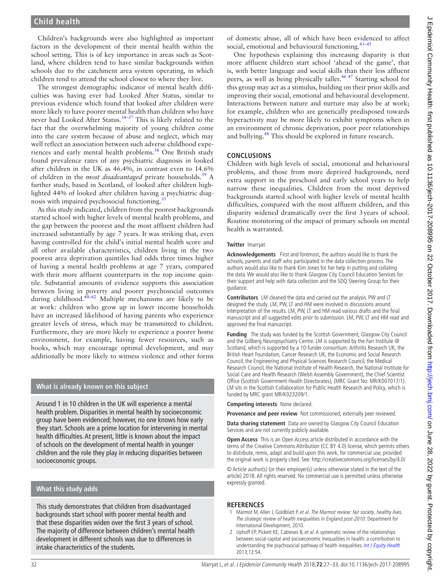# **Child health**

Children's backgrounds were also highlighted as important factors in the development of their mental health within the school setting. This is of key importance in areas such as Scotland, where children tend to have similar backgrounds within schools due to the catchment area system operating, in which children tend to attend the school closest to where they live.

The strongest demographic indicator of mental health difficulties was having ever had Looked After Status, similar to previous evidence which found that looked after children were more likely to have poorer mental health than children who have never had Looked After Status.<sup>[34–37](#page-6-20)</sup> This is likely related to the fact that the overwhelming majority of young children come into the care system because of abuse and neglect, which may well reflect an association between such adverse childhood experiences and early mental health problems.<sup>38</sup> One British study found prevalence rates of any psychiatric diagnosis in looked after children in the UK as 46.4%, in contrast even to 14.6% of children in the *most disadvantaged* private households.[39](#page-6-22) A further study, based in Scotland, of looked after children highlighted 44% of looked after children having a psychiatric diagnosis with impaired psychosocial functioning.

As this study indicated, children from the poorest backgrounds started school with higher levels of mental health problems, and the gap between the poorest and the most affluent children had increased substantially by age 7 years. It was striking that, even having controlled for the child's initial mental health score and all other available characteristics, children living in the two poorest area deprivation quintiles had odds three times higher of having a mental health problems at age 7 years, compared with their more affluent counterparts in the top income quintile. Substantial amounts of evidence supports this association between living in poverty and poorer psychosocial outcomes during childhood.<sup>[40–42](#page-6-24)</sup> Multiple mechanisms are likely to be at work: children who grow up in lower income households have an increased likelihood of having parents who experience greater levels of stress, which may be transmitted to children. Furthermore, they are more likely to experience a poorer home environment, for example, having fewer resources, such as books, which may encourage optimal development, and may additionally be more likely to witness violence and other forms

### **What is already known on this subject**

Around 1 in 10 children in the UK will experience a mental health problem. Disparities in mental health by socioeconomic group have been evidenced; however, no one knows how early they start. Schools are a prime location for intervening in mental health difficulties. At present, little is known about the impact of schools on the development of mental health in younger children and the role they play in reducing disparities between socioeconomic groups.

# **What this study adds**

This study demonstrates that children from disadvantaged backgrounds start school with poorer mental health and that these disparities widen over the first 3 years of school. The majority of difference between children's mental health development in different schools was due to differences in intake characteristics of the students.

of domestic abuse, all of which have been evidenced to affect social, emotional and behavioural functioning.<sup>43-45</sup>

One hypothesis explaining this increasing disparity is that more affluent children start school 'ahead of the game', that is, with better language and social skills than their less affluent peers, as well as being physically taller.<sup>46 47</sup> Starting school for this group may act as a stimulus, building on their prior skills and improving their social, emotional and behavioural development. Interactions between nature and nurture may also be at work; for example, children who are genetically predisposed towards hyperactivity may be more likely to exhibit symptoms when in an environment of chronic deprivation, poor peer relationships and bullying.<sup>48</sup> This should be explored in future research.

#### **Conclusions**

Children with high levels of social, emotional and behavioural problems, and those from more deprived backgrounds, need extra support in the preschool and early school years to help narrow these inequalities. Children from the most deprived backgrounds started school with higher levels of mental health difficulties, compared with the most affluent children, and this disparity widened dramatically over the first 3years of school. Routine monitoring of the impact of primary schools on mental health is warranted.

#### **Twitter** lmarryat

**Acknowledgements** First and foremost, the authors would like to thank the schools, parents and staff who participated in the data collection process. The authors would also like to thank Kim Jones for her help in putting and collating the data. We would also like to thank Glasgow City Council Education Services for their support and help with data collection and the SDQ Steering Group for their guidance.

**Contributors** LM cleaned the data and carried out the analysis. PW and LT designed the study. LM, PW, LT and HM were involved in discussions around interpretation of the results. LM, PW, LT and HM read various drafts and the final manuscript and all suggested edits prior to submission. LM, PW, LT and HM read and approved the final manuscript.

**Funding** The study was funded by the Scottish Government, Glasgow City Council and the Gillberg Neuropsychiatry Centre. LM is supported by the Farr Institute @ Scotland, which is supported by a 10-funder consortium: Arthritis Research UK, the British Heart Foundation, Cancer Research UK, the Economic and Social Research Council, the Engineering and Physical Sciences Research Council, the Medical Research Council, the National Institute of Health Research, the National Institute for Social Care and Health Research (Welsh Assembly Government), the Chief Scientist Office (Scottish Government Health Directorates), (MRC Grant No: MR/K007017/1). LM sits in the Scottish Collaboration for Public Health Research and Policy, which is funded by MRC grant MR/K023209/1.

**Competing interests** None declared.

**Provenance and peer review** Not commissioned; externally peer reviewed.

**Data sharing statement** Data are owned by Glasgow City Council Education Services and are not currently publicly available.

**Open Access** This is an Open Access article distributed in accordance with the terms of the Creative Commons Attribution (CC BY 4.0) license, which permits others to distribute, remix, adapt and build upon this work, for commercial use, provided the original work is properly cited. See:<http://creativecommons.org/licenses/by/4.0/>

© Article author(s) (or their employer(s) unless otherwise stated in the text of the article) 2018. All rights reserved. No commercial use is permitted unless otherwise expressly granted.

#### **References**

- <span id="page-5-0"></span>1 Marmot M, Allen J, Goldblatt P, et al. The Marmot review: fair society, healthy lives. The strategic review of health inequalities in England post-2010: Department for International Development, 2010.
- <span id="page-5-1"></span>2 Uphoff EP, Pickett KE, Cabieses B, et al. A systematic review of the relationships between social capital and socioeconomic inequalities in health: a contribution to understanding the psychosocial pathway of health inequalities. [Int J Equity Health](http://dx.doi.org/10.1186/1475-9276-12-54) 2013;12:54.